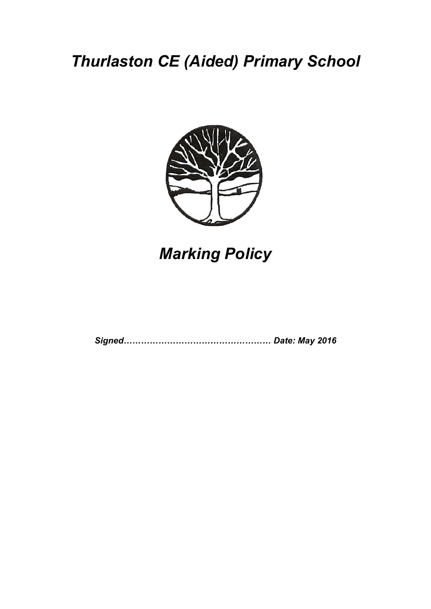## *Thurlaston CE (Aided) Primary School*



# *Marking Policy*

*Signed…………………………………………… Date: May 2016*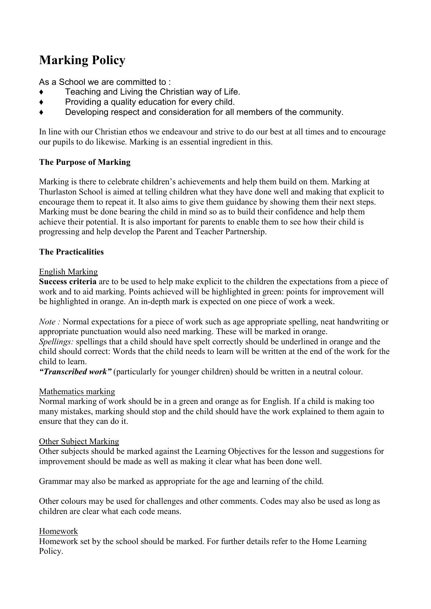### **Marking Policy**

As a School we are committed to :

- Teaching and Living the Christian way of Life.
- ♦ Providing a quality education for every child.
- ♦ Developing respect and consideration for all members of the community.

In line with our Christian ethos we endeavour and strive to do our best at all times and to encourage our pupils to do likewise. Marking is an essential ingredient in this.

#### **The Purpose of Marking**

Marking is there to celebrate children's achievements and help them build on them. Marking at Thurlaston School is aimed at telling children what they have done well and making that explicit to encourage them to repeat it. It also aims to give them guidance by showing them their next steps. Marking must be done bearing the child in mind so as to build their confidence and help them achieve their potential. It is also important for parents to enable them to see how their child is progressing and help develop the Parent and Teacher Partnership.

#### **The Practicalities**

#### English Marking

**Success criteria** are to be used to help make explicit to the children the expectations from a piece of work and to aid marking. Points achieved will be highlighted in green: points for improvement will be highlighted in orange. An in-depth mark is expected on one piece of work a week.

*Note :* Normal expectations for a piece of work such as age appropriate spelling, neat handwriting or appropriate punctuation would also need marking. These will be marked in orange.

*Spellings:* spellings that a child should have spelt correctly should be underlined in orange and the child should correct: Words that the child needs to learn will be written at the end of the work for the child to learn.

*"Transcribed work"* (particularly for younger children) should be written in a neutral colour.

#### Mathematics marking

Normal marking of work should be in a green and orange as for English. If a child is making too many mistakes, marking should stop and the child should have the work explained to them again to ensure that they can do it.

#### Other Subject Marking

Other subjects should be marked against the Learning Objectives for the lesson and suggestions for improvement should be made as well as making it clear what has been done well.

Grammar may also be marked as appropriate for the age and learning of the child.

Other colours may be used for challenges and other comments. Codes may also be used as long as children are clear what each code means.

#### Homework

Homework set by the school should be marked. For further details refer to the Home Learning Policy.